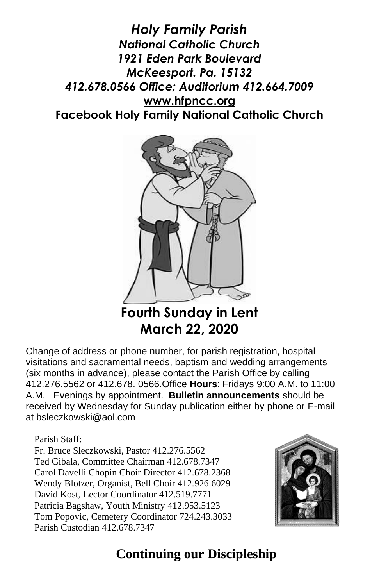*Holy Family Parish National Catholic Church 1921 Eden Park Boulevard McKeesport. Pa. 15132 412.678.0566 Office; Auditorium 412.664.7009* **[www.hfpncc.org](http://www.hfpncc.org/) Facebook Holy Family National Catholic Church**



**Fourth Sunday in Lent March 22, 2020**

Change of address or phone number, for parish registration, hospital visitations and sacramental needs, baptism and wedding arrangements (six months in advance), please contact the Parish Office by calling 412.276.5562 or 412.678. 0566.Office **Hours**: Fridays 9:00 A.M. to 11:00 A.M. Evenings by appointment. **Bulletin announcements** should be received by Wednesday for Sunday publication either by phone or E-mail at [bsleczkowski@aol.com](mailto:bsleczkowski@aol.com)

Parish Staff:

Fr. Bruce Sleczkowski, Pastor 412.276.5562 Ted Gibala, Committee Chairman 412.678.7347 Carol Davelli Chopin Choir Director 412.678.2368 Wendy Blotzer, Organist, Bell Choir 412.926.6029 David Kost, Lector Coordinator 412.519.7771 Patricia Bagshaw, Youth Ministry 412.953.5123 Tom Popovic, Cemetery Coordinator 724.243.3033 Parish Custodian 412.678.7347



# **Continuing our Discipleship**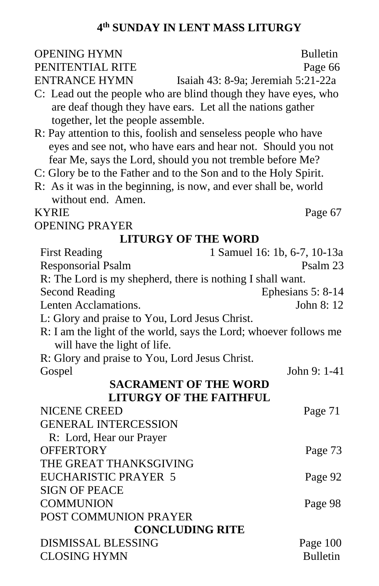#### **4 th SUNDAY IN LENT MASS LITURGY**

# OPENING HYMN Bulletin

PENITENTIAL RITE Page 66

ENTRANCE HYMN Isaiah 43: 8-9a; Jeremiah 5:21-22a

- C: Lead out the people who are blind though they have eyes, who are deaf though they have ears. Let all the nations gather together, let the people assemble.
- R: Pay attention to this, foolish and senseless people who have eyes and see not, who have ears and hear not. Should you not fear Me, says the Lord, should you not tremble before Me?
- C: Glory be to the Father and to the Son and to the Holy Spirit.
- R: As it was in the beginning, is now, and ever shall be, world without end. Amen.

#### KYRIE Page 67

OPENING PRAYER

#### **LITURGY OF THE WORD**

| <b>First Reading</b>                                                                              | 1 Samuel 16: 1b, 6-7, 10-13a |  |
|---------------------------------------------------------------------------------------------------|------------------------------|--|
| <b>Responsorial Psalm</b>                                                                         | Psalm 23                     |  |
| R: The Lord is my shepherd, there is nothing I shall want.                                        |                              |  |
| <b>Second Reading</b>                                                                             | Ephesians 5: 8-14            |  |
| Lenten Acclamations.                                                                              | John 8: 12                   |  |
| L: Glory and praise to You, Lord Jesus Christ.                                                    |                              |  |
| R: I am the light of the world, says the Lord; whoever follows me<br>will have the light of life. |                              |  |
| R: Glory and praise to You, Lord Jesus Christ.                                                    |                              |  |
| Gospel                                                                                            | John 9: 1-41                 |  |
| <b>SACRAMENT OF THE WORD</b>                                                                      |                              |  |
| <b>LITURGY OF THE FAITHFUL</b>                                                                    |                              |  |
| <b>NICENE CREED</b>                                                                               | Page 71                      |  |
| <b>GENERAL INTERCESSION</b>                                                                       |                              |  |
| R: Lord, Hear our Prayer                                                                          |                              |  |
| <b>OFFERTORY</b>                                                                                  | Page 73                      |  |
| THE GREAT THANKSGIVING                                                                            |                              |  |
| <b>EUCHARISTIC PRAYER 5</b>                                                                       | Page 92                      |  |
| <b>SIGN OF PEACE</b>                                                                              |                              |  |
| <b>COMMUNION</b>                                                                                  | Page 98                      |  |
| POST COMMUNION PRAYER                                                                             |                              |  |
| <b>CONCLUDING RITE</b>                                                                            |                              |  |
| <b>DISMISSAL BLESSING</b>                                                                         | Page 100                     |  |
| <b>CLOSING HYMN</b>                                                                               | <b>Bulletin</b>              |  |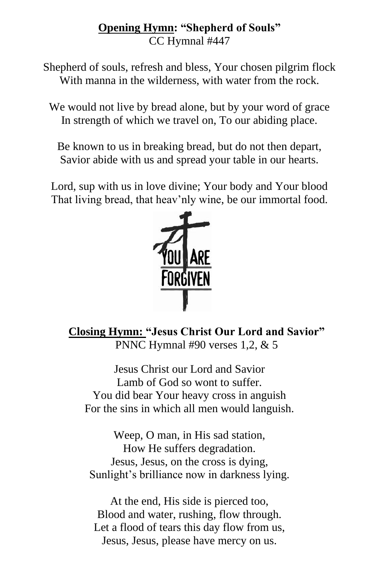#### **Opening Hymn: "Shepherd of Souls"**  CC Hymnal #447

Shepherd of souls, refresh and bless, Your chosen pilgrim flock With manna in the wilderness, with water from the rock.

We would not live by bread alone, but by your word of grace In strength of which we travel on, To our abiding place.

Be known to us in breaking bread, but do not then depart, Savior abide with us and spread your table in our hearts.

Lord, sup with us in love divine; Your body and Your blood That living bread, that heav'nly wine, be our immortal food.



**Closing Hymn: "Jesus Christ Our Lord and Savior"** PNNC Hymnal #90 verses 1,2, & 5

Jesus Christ our Lord and Savior Lamb of God so wont to suffer. You did bear Your heavy cross in anguish For the sins in which all men would languish.

Weep, O man, in His sad station, How He suffers degradation. Jesus, Jesus, on the cross is dying, Sunlight's brilliance now in darkness lying.

At the end, His side is pierced too, Blood and water, rushing, flow through. Let a flood of tears this day flow from us, Jesus, Jesus, please have mercy on us.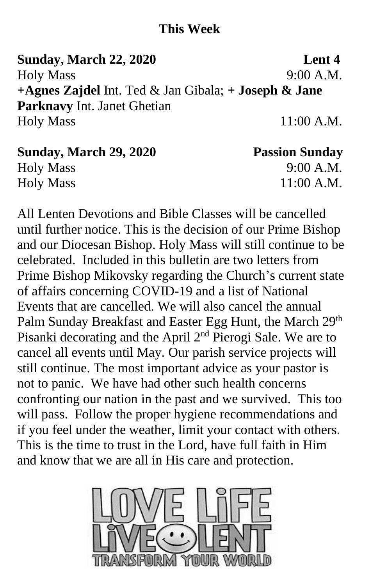### **This Week**

**Sunday, March 22, 2020 Lent 4** Holy Mass 9:00 A.M. **+Agnes Zajdel** Int. Ted & Jan Gibala; **+ Joseph & Jane Parknavy** Int. Janet Ghetian Holy Mass 11:00 A.M.

| <b>Sunday, March 29, 2020</b> | <b>Passion Sunday</b> |
|-------------------------------|-----------------------|
| <b>Holy Mass</b>              | 9:00 A.M.             |
| <b>Holy Mass</b>              | $11:00$ A.M.          |

All Lenten Devotions and Bible Classes will be cancelled until further notice. This is the decision of our Prime Bishop and our Diocesan Bishop. Holy Mass will still continue to be celebrated. Included in this bulletin are two letters from Prime Bishop Mikovsky regarding the Church's current state of affairs concerning COVID-19 and a list of National Events that are cancelled. We will also cancel the annual Palm Sunday Breakfast and Easter Egg Hunt, the March 29<sup>th</sup> Pisanki decorating and the April 2nd Pierogi Sale. We are to cancel all events until May. Our parish service projects will still continue. The most important advice as your pastor is not to panic. We have had other such health concerns confronting our nation in the past and we survived. This too will pass. Follow the proper hygiene recommendations and if you feel under the weather, limit your contact with others. This is the time to trust in the Lord, have full faith in Him and know that we are all in His care and protection.

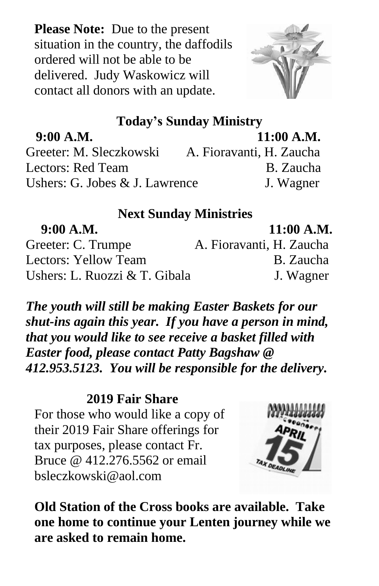**Please Note:** Due to the present situation in the country, the daffodils ordered will not be able to be delivered. Judy Waskowicz will contact all donors with an update.



## **Today's Sunday Ministry**

 **9:00 A.M. 11:00 A.M.** Greeter: M. Sleczkowski A. Fioravanti, H. Zaucha Lectors: Red Team B. Zaucha Ushers: G. Jobes & J. Lawrence J. Wagner

### **Next Sunday Ministries**

**9:00 A.M. 11:00 A.M.** Greeter: C. Trumpe A. Fioravanti, H. Zaucha Lectors: Yellow Team B. Zaucha Ushers: L. Ruozzi & T. Gibala J. Wagner

*The youth will still be making Easter Baskets for our shut-ins again this year. If you have a person in mind, that you would like to see receive a basket filled with Easter food, please contact Patty Bagshaw @ 412.953.5123. You will be responsible for the delivery.*

#### **2019 Fair Share**

For those who would like a copy of their 2019 Fair Share offerings for tax purposes, please contact Fr. Bruce @ 412.276.5562 or email bsleczkowski@aol.com



**Old Station of the Cross books are available. Take one home to continue your Lenten journey while we are asked to remain home.**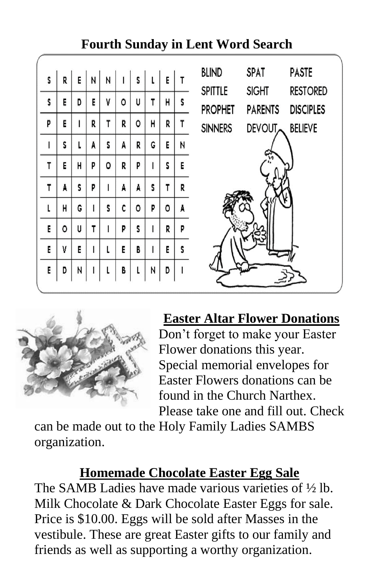

# **Fourth Sunday in Lent Word Search**



## **Easter Altar Flower Donations**

Don't forget to make your Easter Flower donations this year. Special memorial envelopes for Easter Flowers donations can be found in the Church Narthex. Please take one and fill out. Check

can be made out to the Holy Family Ladies SAMBS organization.

#### **Homemade Chocolate Easter Egg Sale**

The SAMB Ladies have made various varieties of ½ lb. Milk Chocolate & Dark Chocolate Easter Eggs for sale. Price is \$10.00. Eggs will be sold after Masses in the vestibule. These are great Easter gifts to our family and friends as well as supporting a worthy organization.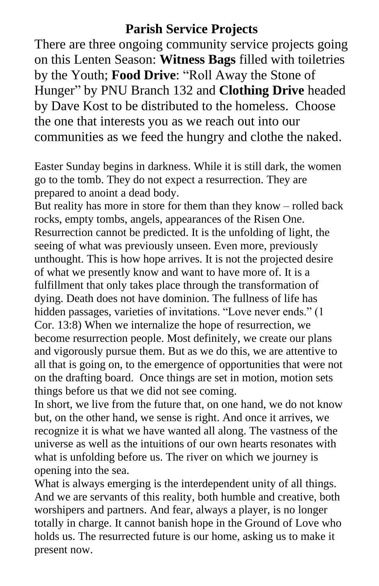#### **Parish Service Projects**

There are three ongoing community service projects going on this Lenten Season: **Witness Bags** filled with toiletries by the Youth; **Food Drive**: "Roll Away the Stone of Hunger" by PNU Branch 132 and **Clothing Drive** headed by Dave Kost to be distributed to the homeless. Choose the one that interests you as we reach out into our communities as we feed the hungry and clothe the naked.

Easter Sunday begins in darkness. While it is still dark, the women go to the tomb. They do not expect a resurrection. They are prepared to anoint a dead body.

But reality has more in store for them than they know – rolled back rocks, empty tombs, angels, appearances of the Risen One. Resurrection cannot be predicted. It is the unfolding of light, the seeing of what was previously unseen. Even more, previously unthought. This is how hope arrives. It is not the projected desire of what we presently know and want to have more of. It is a fulfillment that only takes place through the transformation of dying. Death does not have dominion. The fullness of life has hidden passages, varieties of invitations. "Love never ends." (1 Cor. 13:8) When we internalize the hope of resurrection, we become resurrection people. Most definitely, we create our plans and vigorously pursue them. But as we do this, we are attentive to all that is going on, to the emergence of opportunities that were not on the drafting board. Once things are set in motion, motion sets things before us that we did not see coming.

In short, we live from the future that, on one hand, we do not know but, on the other hand, we sense is right. And once it arrives, we recognize it is what we have wanted all along. The vastness of the universe as well as the intuitions of our own hearts resonates with what is unfolding before us. The river on which we journey is opening into the sea.

What is always emerging is the interdependent unity of all things. And we are servants of this reality, both humble and creative, both worshipers and partners. And fear, always a player, is no longer totally in charge. It cannot banish hope in the Ground of Love who holds us. The resurrected future is our home, asking us to make it present now.